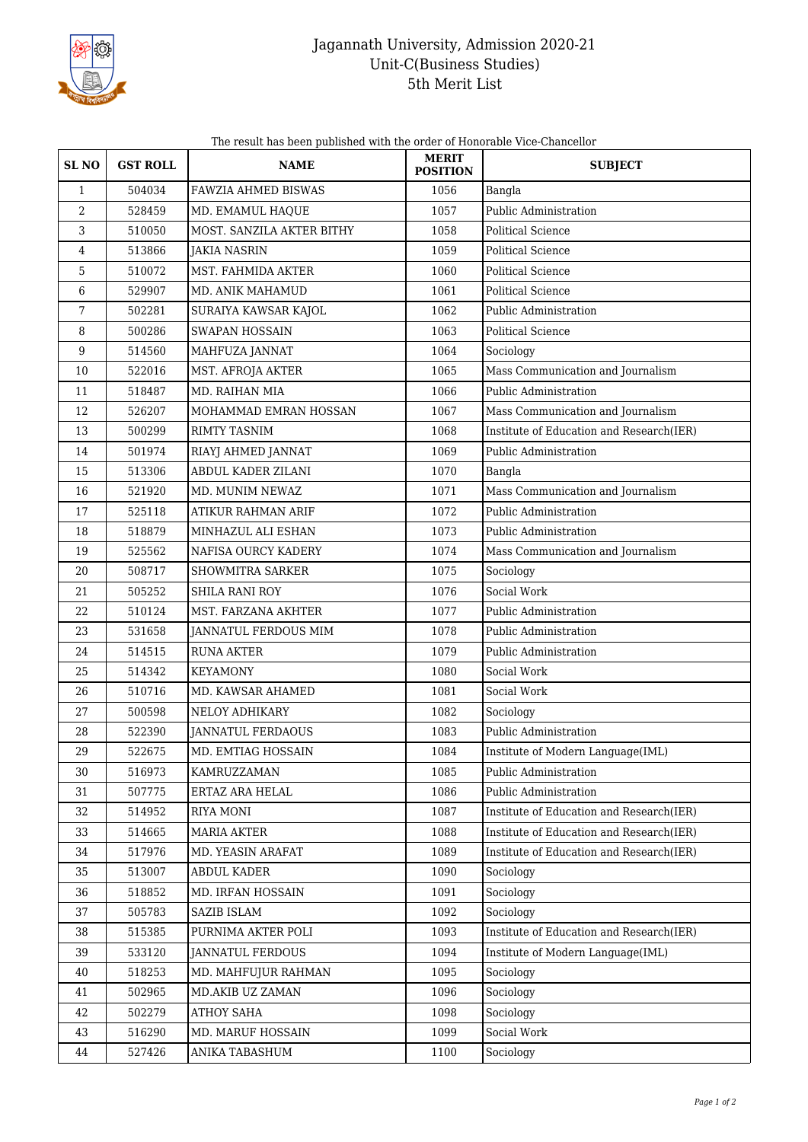

## Jagannath University, Admission 2020-21 Unit-C(Business Studies) 5th Merit List

The result has been published with the order of Honorable Vice-Chancellor

| SL <sub>NO</sub> | <b>GST ROLL</b> | <b>NAME</b>                | <b>MERIT</b><br><b>POSITION</b> | <b>SUBJECT</b>                           |
|------------------|-----------------|----------------------------|---------------------------------|------------------------------------------|
| $\mathbf{1}$     | 504034          | <b>FAWZIA AHMED BISWAS</b> | 1056                            | Bangla                                   |
| 2                | 528459          | MD. EMAMUL HAQUE           | 1057                            | Public Administration                    |
| 3                | 510050          | MOST. SANZILA AKTER BITHY  | 1058                            | Political Science                        |
| 4                | 513866          | <b>JAKIA NASRIN</b>        | 1059                            | Political Science                        |
| 5                | 510072          | MST. FAHMIDA AKTER         | 1060                            | <b>Political Science</b>                 |
| 6                | 529907          | MD. ANIK MAHAMUD           | 1061                            | <b>Political Science</b>                 |
| 7                | 502281          | SURAIYA KAWSAR KAJOL       | 1062                            | Public Administration                    |
| 8                | 500286          | <b>SWAPAN HOSSAIN</b>      | 1063                            | <b>Political Science</b>                 |
| 9                | 514560          | MAHFUZA JANNAT             | 1064                            | Sociology                                |
| 10               | 522016          | MST. AFROJA AKTER          | 1065                            | Mass Communication and Journalism        |
| 11               | 518487          | MD. RAIHAN MIA             | 1066                            | Public Administration                    |
| 12               | 526207          | MOHAMMAD EMRAN HOSSAN      | 1067                            | Mass Communication and Journalism        |
| 13               | 500299          | <b>RIMTY TASNIM</b>        | 1068                            | Institute of Education and Research(IER) |
| 14               | 501974          | RIAYJ AHMED JANNAT         | 1069                            | Public Administration                    |
| 15               | 513306          | ABDUL KADER ZILANI         | 1070                            | Bangla                                   |
| 16               | 521920          | MD. MUNIM NEWAZ            | 1071                            | Mass Communication and Journalism        |
| 17               | 525118          | <b>ATIKUR RAHMAN ARIF</b>  | 1072                            | <b>Public Administration</b>             |
| 18               | 518879          | MINHAZUL ALI ESHAN         | 1073                            | Public Administration                    |
| 19               | 525562          | NAFISA OURCY KADERY        | 1074                            | Mass Communication and Journalism        |
| 20               | 508717          | <b>SHOWMITRA SARKER</b>    | 1075                            | Sociology                                |
| 21               | 505252          | <b>SHILA RANI ROY</b>      | 1076                            | Social Work                              |
| 22               | 510124          | MST. FARZANA AKHTER        | 1077                            | Public Administration                    |
| 23               | 531658          | JANNATUL FERDOUS MIM       | 1078                            | Public Administration                    |
| 24               | 514515          | <b>RUNA AKTER</b>          | 1079                            | Public Administration                    |
| 25               | 514342          | <b>KEYAMONY</b>            | 1080                            | Social Work                              |
| 26               | 510716          | MD. KAWSAR AHAMED          | 1081                            | Social Work                              |
| 27               | 500598          | NELOY ADHIKARY             | 1082                            | Sociology                                |
| 28               | 522390          | <b>JANNATUL FERDAOUS</b>   | 1083                            | Public Administration                    |
| 29               | 522675          | MD. EMTIAG HOSSAIN         | 1084                            | Institute of Modern Language(IML)        |
| 30               | 516973          | KAMRUZZAMAN                | 1085                            | Public Administration                    |
| 31               | 507775          | ERTAZ ARA HELAL            | 1086                            | Public Administration                    |
| 32               | 514952          | RIYA MONI                  | 1087                            | Institute of Education and Research(IER) |
| 33               | 514665          | <b>MARIA AKTER</b>         | 1088                            | Institute of Education and Research(IER) |
| 34               | 517976          | MD. YEASIN ARAFAT          | 1089                            | Institute of Education and Research(IER) |
| 35               | 513007          | ABDUL KADER                | 1090                            | Sociology                                |
| 36               | 518852          | MD. IRFAN HOSSAIN          | 1091                            | Sociology                                |
| 37               | 505783          | SAZIB ISLAM                | 1092                            | Sociology                                |
| 38               | 515385          | PURNIMA AKTER POLI         | 1093                            | Institute of Education and Research(IER) |
| 39               | 533120          | <b>JANNATUL FERDOUS</b>    | 1094                            | Institute of Modern Language(IML)        |
| 40               | 518253          | MD. MAHFUJUR RAHMAN        | 1095                            | Sociology                                |
| 41               | 502965          | MD.AKIB UZ ZAMAN           | 1096                            | Sociology                                |
| 42               | 502279          | <b>ATHOY SAHA</b>          | 1098                            | Sociology                                |
| 43               | 516290          | MD. MARUF HOSSAIN          | 1099                            | Social Work                              |
| 44               | 527426          | ANIKA TABASHUM             | 1100                            | Sociology                                |